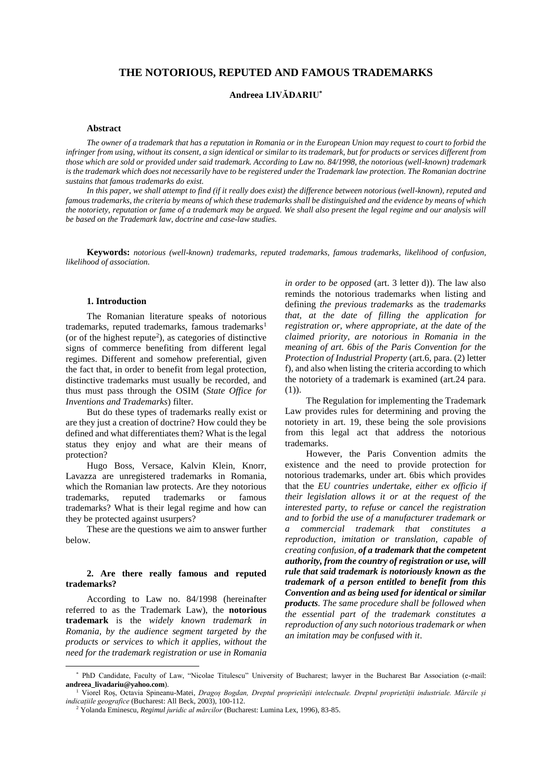# **THE NOTORIOUS, REPUTED AND FAMOUS TRADEMARKS**

# **Andreea LIVĂDARIU\***

#### **Abstract**

*The owner of a trademark that has a reputation in Romania or in the European Union may request to court to forbid the infringer from using, without its consent, a sign identical or similar to its trademark, but for products or services different from those which are sold or provided under said trademark. According to Law no. 84/1998, the notorious (well-known) trademark is the trademark which does not necessarily have to be registered under the Trademark law protection. The Romanian doctrine sustains that famous trademarks do exist.*

*In this paper, we shall attempt to find (if it really does exist) the difference between notorious (well-known), reputed and famous trademarks, the criteria by means of which these trademarks shall be distinguished and the evidence by means of which the notoriety, reputation or fame of a trademark may be argued. We shall also present the legal regime and our analysis will be based on the Trademark law, doctrine and case-law studies.*

**Keywords:** *notorious (well-known) trademarks, reputed trademarks, famous trademarks, likelihood of confusion, likelihood of association.*

# **1. Introduction \***

The Romanian literature speaks of notorious trademarks, reputed trademarks, famous trademarks<sup>1</sup> (or of the highest repute<sup>2</sup>), as categories of distinctive signs of commerce benefiting from different legal regimes. Different and somehow preferential, given the fact that, in order to benefit from legal protection, distinctive trademarks must usually be recorded, and thus must pass through the OSIM (*State Office for Inventions and Trademarks*) filter.

But do these types of trademarks really exist or are they just a creation of doctrine? How could they be defined and what differentiates them? What is the legal status they enjoy and what are their means of protection?

Hugo Boss, Versace, Kalvin Klein, Knorr, Lavazza are unregistered trademarks in Romania, which the Romanian law protects. Are they notorious trademarks, reputed trademarks or famous trademarks? What is their legal regime and how can they be protected against usurpers?

These are the questions we aim to answer further below.

### **2. Are there really famous and reputed trademarks?**

According to Law no. 84/1998 (hereinafter referred to as the Trademark Law), the **notorious trademark** is the *widely known trademark in Romania, by the audience segment targeted by the products or services to which it applies, without the need for the trademark registration or use in Romania* 

 $\overline{a}$ 

*in order to be opposed* (art. 3 letter d)). The law also reminds the notorious trademarks when listing and defining *the previous trademarks* as the *trademarks that, at the date of filling the application for registration or, where appropriate, at the date of the claimed priority, are notorious in Romania in the meaning of art. 6bis of the Paris Convention for the Protection of Industrial Property* (art.6, para. (2) letter f), and also when listing the criteria according to which the notoriety of a trademark is examined (art.24 para. (1)).

The Regulation for implementing the Trademark Law provides rules for determining and proving the notoriety in art. 19, these being the sole provisions from this legal act that address the notorious trademarks.

However, the Paris Convention admits the existence and the need to provide protection for notorious trademarks, under art. 6bis which provides that the *EU countries undertake, either ex officio if their legislation allows it or at the request of the interested party, to refuse or cancel the registration and to forbid the use of a manufacturer trademark or a commercial trademark that constitutes a reproduction, imitation or translation, capable of creating confusion, of a trademark that the competent authority, from the country of registration or use, will rule that said trademark is notoriously known as the trademark of a person entitled to benefit from this Convention and as being used for identical or similar products. The same procedure shall be followed when the essential part of the trademark constitutes a reproduction of any such notorious trademark or when an imitation may be confused with it*.

<sup>\*</sup> PhD Candidate, Faculty of Law, "Nicolae Titulescu" University of Bucharest; lawyer in the Bucharest Bar Association (e-mail: **andreea\_livadariu@yahoo.com**).

<sup>1</sup> Viorel Roș, Octavia Spineanu-Matei, *Dragoș Bogdan, Dreptul proprietății intelectuale. Dreptul proprietății industriale. Mărcile și indicațiile geografice* (Bucharest: All Beck, 2003), 100-112.

<sup>2</sup> Yolanda Eminescu, *Regimul juridic al mărcilor* (Bucharest: Lumina Lex, 1996), 83-85.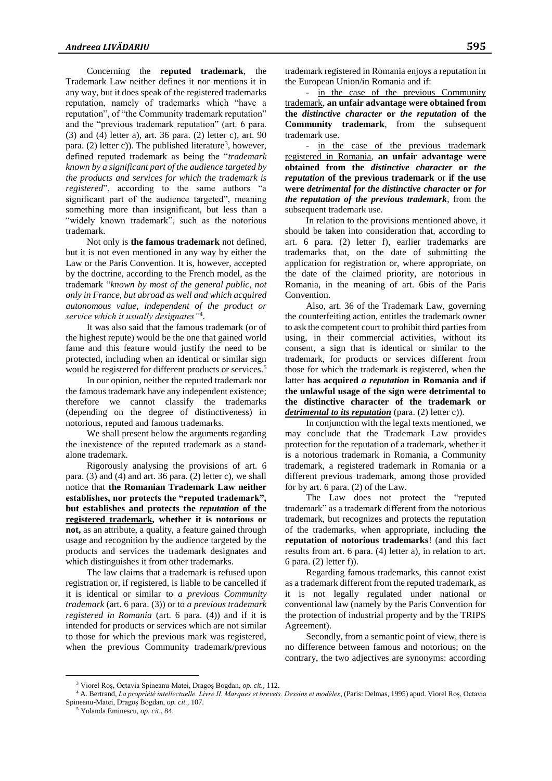Concerning the **reputed trademark**, the Trademark Law neither defines it nor mentions it in any way, but it does speak of the registered trademarks reputation, namely of trademarks which "have a reputation", of "the Community trademark reputation" and the "previous trademark reputation" (art. 6 para. (3) and (4) letter a), art. 36 para. (2) letter c), art. 90 para. (2) letter c)). The published literature<sup>3</sup>, however, defined reputed trademark as being the "*trademark known by a significant part of the audience targeted by the products and services for which the trademark is registered*", according to the same authors "a significant part of the audience targeted", meaning something more than insignificant, but less than a "widely known trademark", such as the notorious trademark.

Not only is **the famous trademark** not defined, but it is not even mentioned in any way by either the Law or the Paris Convention. It is, however, accepted by the doctrine, according to the French model, as the trademark "*known by most of the general public, not only in France, but abroad as well and which acquired autonomous value, independent of the product or service which it usually designates"*<sup>4</sup> .

It was also said that the famous trademark (or of the highest repute) would be the one that gained world fame and this feature would justify the need to be protected, including when an identical or similar sign would be registered for different products or services.<sup>5</sup>

In our opinion, neither the reputed trademark nor the famous trademark have any independent existence; therefore we cannot classify the trademarks (depending on the degree of distinctiveness) in notorious, reputed and famous trademarks.

We shall present below the arguments regarding the inexistence of the reputed trademark as a standalone trademark.

Rigorously analysing the provisions of art. 6 para. (3) and (4) and art. 36 para. (2) letter c), we shall notice that **the Romanian Trademark Law neither establishes, nor protects the "reputed trademark", but establishes and protects the** *reputation* **of the registered trademark, whether it is notorious or not,** as an attribute, a quality, a feature gained through usage and recognition by the audience targeted by the products and services the trademark designates and which distinguishes it from other trademarks.

The law claims that a trademark is refused upon registration or, if registered, is liable to be cancelled if it is identical or similar to *a previous Community trademark* (art. 6 para. (3)) or to *a previous trademark registered in Romania* (art. 6 para. (4)) and if it is intended for products or services which are not similar to those for which the previous mark was registered, when the previous Community trademark/previous

trademark registered in Romania enjoys a reputation in the European Union/in Romania and if:

- in the case of the previous Community trademark, **an unfair advantage were obtained from the** *distinctive character* **or** *the reputation* **of the Community trademark**, from the subsequent trademark use.

- in the case of the previous trademark registered in Romania, **an unfair advantage were obtained from the** *distinctive character* **or** *the reputation* **of the previous trademark** or **if the use were** *detrimental for the distinctive character* **or** *for the reputation of the previous trademark*, from the subsequent trademark use.

In relation to the provisions mentioned above, it should be taken into consideration that, according to art. 6 para. (2) letter f), earlier trademarks are trademarks that, on the date of submitting the application for registration or, where appropriate, on the date of the claimed priority, are notorious in Romania, in the meaning of art. 6bis of the Paris Convention.

Also, art. 36 of the Trademark Law, governing the counterfeiting action, entitles the trademark owner to ask the competent court to prohibit third parties from using, in their commercial activities, without its consent, a sign that is identical or similar to the trademark, for products or services different from those for which the trademark is registered, when the latter **has acquired** *a reputation* **in Romania and if the unlawful usage of the sign were detrimental to the distinctive character of the trademark or**  *detrimental to its reputation* (para. (2) letter c)).

In conjunction with the legal texts mentioned, we may conclude that the Trademark Law provides protection for the reputation of a trademark, whether it is a notorious trademark in Romania, a Community trademark, a registered trademark in Romania or a different previous trademark, among those provided for by art. 6 para. (2) of the Law.

The Law does not protect the "reputed trademark" as a trademark different from the notorious trademark, but recognizes and protects the reputation of the trademarks, when appropriate, including **the reputation of notorious trademarks**! (and this fact results from art. 6 para. (4) letter a), in relation to art. 6 para. (2) letter f)).

Regarding famous trademarks, this cannot exist as a trademark different from the reputed trademark, as it is not legally regulated under national or conventional law (namely by the Paris Convention for the protection of industrial property and by the TRIPS Agreement).

Secondly, from a semantic point of view, there is no difference between famous and notorious; on the contrary, the two adjectives are synonyms: according

 $\overline{a}$ 

<sup>3</sup> Viorel Roș, Octavia Spineanu-Matei, Dragoș Bogdan, *op. cit.,* 112.

<sup>4</sup> A. Bertrand, *La propriété intellectuelle. Livre II. Marques et brevets. Dessins et modèles*, (Paris: Delmas, 1995) apud. Viorel Roș, Octavia Spineanu-Matei, Dragoș Bogdan, *op. cit.,* 107.

<sup>5</sup> Yolanda Eminescu, *op. cit.*, 84.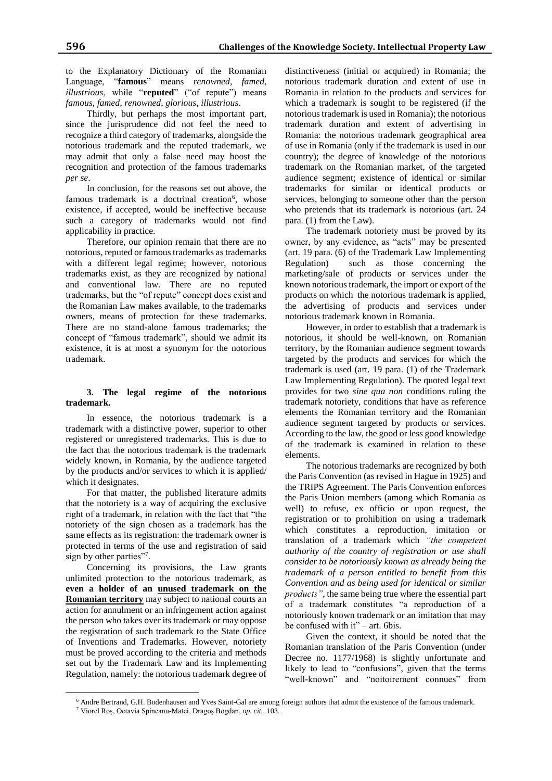to the Explanatory Dictionary of the Romanian Language, "**famous**" means *renowned, famed, illustrious*, while "**reputed**" ("of repute") means *famous, famed, renowned, glorious, illustrious*.

Thirdly, but perhaps the most important part, since the jurisprudence did not feel the need to recognize a third category of trademarks, alongside the notorious trademark and the reputed trademark, we may admit that only a false need may boost the recognition and protection of the famous trademarks *per se*.

In conclusion, for the reasons set out above, the famous trademark is a doctrinal creation<sup>6</sup>, whose existence, if accepted, would be ineffective because such a category of trademarks would not find applicability in practice.

Therefore, our opinion remain that there are no notorious, reputed or famous trademarks as trademarks with a different legal regime; however, notorious trademarks exist, as they are recognized by national and conventional law. There are no reputed trademarks, but the "of repute" concept does exist and the Romanian Law makes available, to the trademarks owners, means of protection for these trademarks. There are no stand-alone famous trademarks; the concept of "famous trademark", should we admit its existence, it is at most a synonym for the notorious trademark.

# **3. The legal regime of the notorious trademark.**

In essence, the notorious trademark is a trademark with a distinctive power, superior to other registered or unregistered trademarks. This is due to the fact that the notorious trademark is the trademark widely known, in Romania, by the audience targeted by the products and/or services to which it is applied/ which it designates.

For that matter, the published literature admits that the notoriety is a way of acquiring the exclusive right of a trademark, in relation with the fact that "the notoriety of the sign chosen as a trademark has the same effects as its registration: the trademark owner is protected in terms of the use and registration of said sign by other parties"7.

Concerning its provisions, the Law grants unlimited protection to the notorious trademark, as **even a holder of an unused trademark on the Romanian territory** may subject to national courts an action for annulment or an infringement action against the person who takes over its trademark or may oppose the registration of such trademark to the State Office of Inventions and Trademarks. However, notoriety must be proved according to the criteria and methods set out by the Trademark Law and its Implementing Regulation, namely: the notorious trademark degree of

 $\overline{a}$ 

distinctiveness (initial or acquired) in Romania; the notorious trademark duration and extent of use in Romania in relation to the products and services for which a trademark is sought to be registered (if the notorious trademark is used in Romania); the notorious trademark duration and extent of advertising in Romania: the notorious trademark geographical area of use in Romania (only if the trademark is used in our country); the degree of knowledge of the notorious trademark on the Romanian market, of the targeted audience segment; existence of identical or similar trademarks for similar or identical products or services, belonging to someone other than the person who pretends that its trademark is notorious (art. 24 para. (1) from the Law).

The trademark notoriety must be proved by its owner, by any evidence, as "acts" may be presented (art. 19 para. (6) of the Trademark Law Implementing Regulation) such as those concerning the marketing/sale of products or services under the known notorious trademark, the import or export of the products on which the notorious trademark is applied, the advertising of products and services under notorious trademark known in Romania.

However, in order to establish that a trademark is notorious, it should be well-known, on Romanian territory, by the Romanian audience segment towards targeted by the products and services for which the trademark is used (art. 19 para. (1) of the Trademark Law Implementing Regulation). The quoted legal text provides for two *sine qua non* conditions ruling the trademark notoriety, conditions that have as reference elements the Romanian territory and the Romanian audience segment targeted by products or services. According to the law, the good or less good knowledge of the trademark is examined in relation to these elements.

The notorious trademarks are recognized by both the Paris Convention (as revised in Hague in 1925) and the TRIPS Agreement. The Paris Convention enforces the Paris Union members (among which Romania as well) to refuse, ex officio or upon request, the registration or to prohibition on using a trademark which constitutes a reproduction, imitation or translation of a trademark which *"the competent authority of the country of registration or use shall consider to be notoriously known as already being the trademark of a person entitled to benefit from this Convention and as being used for identical or similar products"*, the same being true where the essential part of a trademark constitutes "a reproduction of a notoriously known trademark or an imitation that may be confused with it" – art. 6bis.

Given the context, it should be noted that the Romanian translation of the Paris Convention (under Decree no. 1177/1968) is slightly unfortunate and likely to lead to "confusions", given that the terms "well-known" and "noitoirement connues" from

<sup>6</sup> Andre Bertrand, G.H. Bodenhausen and Yves Saint-Gal are among foreign authors that admit the existence of the famous trademark.

<sup>7</sup> Viorel Roș, Octavia Spineanu-Matei, Dragoș Bogdan, *op. cit.*, 103.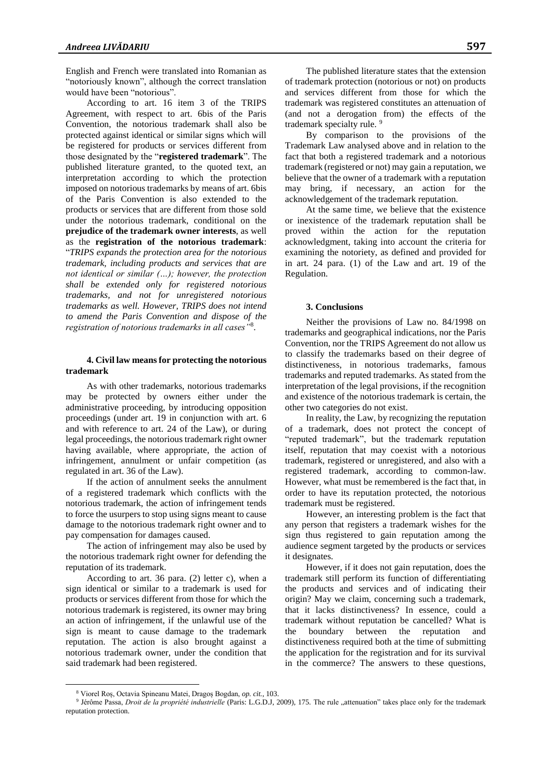English and French were translated into Romanian as "notoriously known", although the correct translation would have been "notorious".

According to art. 16 item 3 of the TRIPS Agreement, with respect to art. 6bis of the Paris Convention, the notorious trademark shall also be protected against identical or similar signs which will be registered for products or services different from those designated by the "**registered trademark**". The published literature granted, to the quoted text, an interpretation according to which the protection imposed on notorious trademarks by means of art. 6bis of the Paris Convention is also extended to the products or services that are different from those sold under the notorious trademark, conditional on the **prejudice of the trademark owner interests**, as well as the **registration of the notorious trademark**: "*TRIPS expands the protection area for the notorious trademark, including products and services that are not identical or similar (…); however, the protection shall be extended only for registered notorious trademarks, and not for unregistered notorious trademarks as well. However, TRIPS does not intend to amend the Paris Convention and dispose of the registration of notorious trademarks in all cases"*<sup>8</sup> .

# **4. Civil law means for protecting the notorious trademark**

As with other trademarks, notorious trademarks may be protected by owners either under the administrative proceeding, by introducing opposition proceedings (under art. 19 in conjunction with art. 6 and with reference to art. 24 of the Law), or during legal proceedings, the notorious trademark right owner having available, where appropriate, the action of infringement, annulment or unfair competition (as regulated in art. 36 of the Law).

If the action of annulment seeks the annulment of a registered trademark which conflicts with the notorious trademark, the action of infringement tends to force the usurpers to stop using signs meant to cause damage to the notorious trademark right owner and to pay compensation for damages caused.

The action of infringement may also be used by the notorious trademark right owner for defending the reputation of its trademark.

According to art. 36 para. (2) letter c), when a sign identical or similar to a trademark is used for products or services different from those for which the notorious trademark is registered, its owner may bring an action of infringement, if the unlawful use of the sign is meant to cause damage to the trademark reputation. The action is also brought against a notorious trademark owner, under the condition that said trademark had been registered.

 $\overline{a}$ 

The published literature states that the extension of trademark protection (notorious or not) on products and services different from those for which the trademark was registered constitutes an attenuation of (and not a derogation from) the effects of the trademark specialty rule.<sup>9</sup>

By comparison to the provisions of the Trademark Law analysed above and in relation to the fact that both a registered trademark and a notorious trademark (registered or not) may gain a reputation, we believe that the owner of a trademark with a reputation may bring, if necessary, an action for the acknowledgement of the trademark reputation.

At the same time, we believe that the existence or inexistence of the trademark reputation shall be proved within the action for the reputation acknowledgment, taking into account the criteria for examining the notoriety, as defined and provided for in art. 24 para. (1) of the Law and art. 19 of the Regulation.

#### **3. Conclusions**

Neither the provisions of Law no. 84/1998 on trademarks and geographical indications, nor the Paris Convention, nor the TRIPS Agreement do not allow us to classify the trademarks based on their degree of distinctiveness, in notorious trademarks, famous trademarks and reputed trademarks. As stated from the interpretation of the legal provisions, if the recognition and existence of the notorious trademark is certain, the other two categories do not exist.

In reality, the Law, by recognizing the reputation of a trademark, does not protect the concept of "reputed trademark", but the trademark reputation itself, reputation that may coexist with a notorious trademark, registered or unregistered, and also with a registered trademark, according to common-law. However, what must be remembered is the fact that, in order to have its reputation protected, the notorious trademark must be registered.

However, an interesting problem is the fact that any person that registers a trademark wishes for the sign thus registered to gain reputation among the audience segment targeted by the products or services it designates.

However, if it does not gain reputation, does the trademark still perform its function of differentiating the products and services and of indicating their origin? May we claim, concerning such a trademark, that it lacks distinctiveness? In essence, could a trademark without reputation be cancelled? What is the boundary between the reputation and distinctiveness required both at the time of submitting the application for the registration and for its survival in the commerce? The answers to these questions,

<sup>8</sup> Viorel Roș, Octavia Spineanu Matei, Dragoș Bogdan, *op. cit.*, 103.

<sup>&</sup>lt;sup>9</sup> Jérôme Passa, *Droit de la propriété industrielle* (Paris: L.G.D.J, 2009), 175. The rule "attenuation" takes place only for the trademark reputation protection.